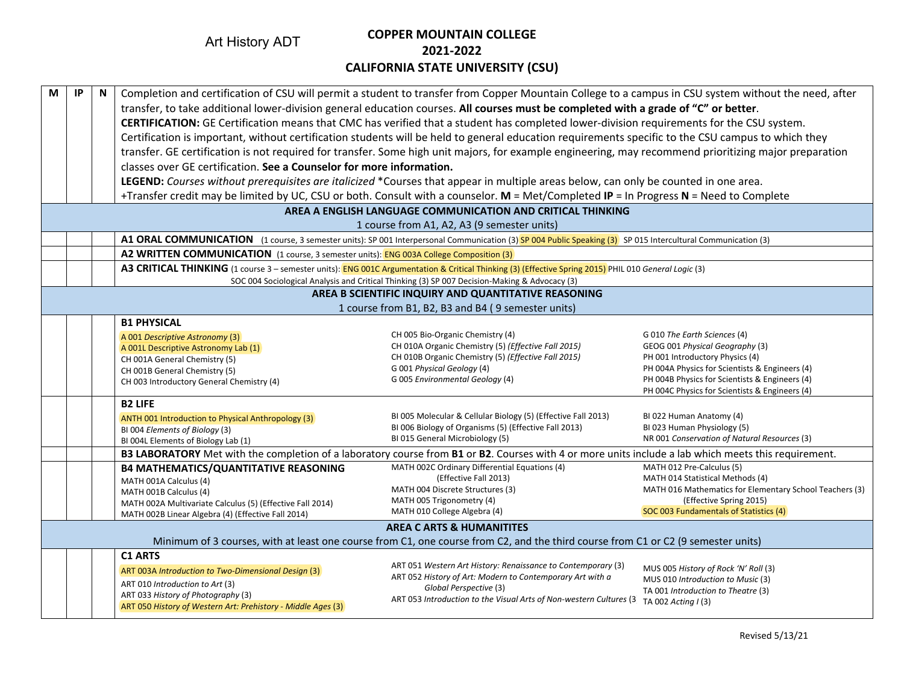Art History ADT

## **COPPER MOUNTAIN COLLEGE 2021-2022 CALIFORNIA STATE UNIVERSITY (CSU)**

| M | IP                                                                                                                                | N | Completion and certification of CSU will permit a student to transfer from Copper Mountain College to a campus in CSU system without the need, after         |                                                                                               |                                                                             |  |  |  |  |  |  |  |
|---|-----------------------------------------------------------------------------------------------------------------------------------|---|--------------------------------------------------------------------------------------------------------------------------------------------------------------|-----------------------------------------------------------------------------------------------|-----------------------------------------------------------------------------|--|--|--|--|--|--|--|
|   |                                                                                                                                   |   | transfer, to take additional lower-division general education courses. All courses must be completed with a grade of "C" or better.                          |                                                                                               |                                                                             |  |  |  |  |  |  |  |
|   |                                                                                                                                   |   | CERTIFICATION: GE Certification means that CMC has verified that a student has completed lower-division requirements for the CSU system.                     |                                                                                               |                                                                             |  |  |  |  |  |  |  |
|   |                                                                                                                                   |   | Certification is important, without certification students will be held to general education requirements specific to the CSU campus to which they           |                                                                                               |                                                                             |  |  |  |  |  |  |  |
|   |                                                                                                                                   |   | transfer. GE certification is not required for transfer. Some high unit majors, for example engineering, may recommend prioritizing major preparation        |                                                                                               |                                                                             |  |  |  |  |  |  |  |
|   |                                                                                                                                   |   | classes over GE certification. See a Counselor for more information.                                                                                         |                                                                                               |                                                                             |  |  |  |  |  |  |  |
|   |                                                                                                                                   |   | LEGEND: Courses without prerequisites are italicized *Courses that appear in multiple areas below, can only be counted in one area.                          |                                                                                               |                                                                             |  |  |  |  |  |  |  |
|   |                                                                                                                                   |   | +Transfer credit may be limited by UC, CSU or both. Consult with a counselor. M = Met/Completed IP = In Progress N = Need to Complete                        |                                                                                               |                                                                             |  |  |  |  |  |  |  |
|   |                                                                                                                                   |   |                                                                                                                                                              | AREA A ENGLISH LANGUAGE COMMUNICATION AND CRITICAL THINKING                                   |                                                                             |  |  |  |  |  |  |  |
|   |                                                                                                                                   |   |                                                                                                                                                              | 1 course from A1, A2, A3 (9 semester units)                                                   |                                                                             |  |  |  |  |  |  |  |
|   |                                                                                                                                   |   | A1 ORAL COMMUNICATION (1 course, 3 semester units): SP 001 Interpersonal Communication (3) SP 004 Public Speaking (3) SP 015 Intercultural Communication (3) |                                                                                               |                                                                             |  |  |  |  |  |  |  |
|   |                                                                                                                                   |   | A2 WRITTEN COMMUNICATION (1 course, 3 semester units): ENG 003A College Composition (3)                                                                      |                                                                                               |                                                                             |  |  |  |  |  |  |  |
|   |                                                                                                                                   |   | A3 CRITICAL THINKING (1 course 3 - semester units): ENG 001C Argumentation & Critical Thinking (3) (Effective Spring 2015) PHIL 010 General Logic (3)        |                                                                                               |                                                                             |  |  |  |  |  |  |  |
|   |                                                                                                                                   |   |                                                                                                                                                              | SOC 004 Sociological Analysis and Critical Thinking (3) SP 007 Decision-Making & Advocacy (3) |                                                                             |  |  |  |  |  |  |  |
|   |                                                                                                                                   |   |                                                                                                                                                              | AREA B SCIENTIFIC INQUIRY AND QUANTITATIVE REASONING                                          |                                                                             |  |  |  |  |  |  |  |
|   |                                                                                                                                   |   |                                                                                                                                                              | 1 course from B1, B2, B3 and B4 (9 semester units)                                            |                                                                             |  |  |  |  |  |  |  |
|   |                                                                                                                                   |   | <b>B1 PHYSICAL</b>                                                                                                                                           |                                                                                               |                                                                             |  |  |  |  |  |  |  |
|   |                                                                                                                                   |   | A 001 Descriptive Astronomy (3)                                                                                                                              | CH 005 Bio-Organic Chemistry (4)<br>CH 010A Organic Chemistry (5) (Effective Fall 2015)       | G 010 The Earth Sciences (4)                                                |  |  |  |  |  |  |  |
|   |                                                                                                                                   |   | A 001L Descriptive Astronomy Lab (1)<br>CH 001A General Chemistry (5)                                                                                        | CH 010B Organic Chemistry (5) (Effective Fall 2015)                                           | GEOG 001 Physical Geography (3)<br>PH 001 Introductory Physics (4)          |  |  |  |  |  |  |  |
|   |                                                                                                                                   |   | CH 001B General Chemistry (5)                                                                                                                                | G 001 Physical Geology (4)                                                                    | PH 004A Physics for Scientists & Engineers (4)                              |  |  |  |  |  |  |  |
|   |                                                                                                                                   |   | CH 003 Introductory General Chemistry (4)                                                                                                                    | G 005 Environmental Geology (4)                                                               | PH 004B Physics for Scientists & Engineers (4)                              |  |  |  |  |  |  |  |
|   | PH 004C Physics for Scientists & Engineers (4)                                                                                    |   |                                                                                                                                                              |                                                                                               |                                                                             |  |  |  |  |  |  |  |
|   |                                                                                                                                   |   | <b>B2 LIFE</b>                                                                                                                                               |                                                                                               |                                                                             |  |  |  |  |  |  |  |
|   |                                                                                                                                   |   | ANTH 001 Introduction to Physical Anthropology (3)                                                                                                           | BI 005 Molecular & Cellular Biology (5) (Effective Fall 2013)                                 | BI 022 Human Anatomy (4)                                                    |  |  |  |  |  |  |  |
|   |                                                                                                                                   |   | BI 004 Elements of Biology (3)                                                                                                                               | BI 006 Biology of Organisms (5) (Effective Fall 2013)<br>BI 015 General Microbiology (5)      | BI 023 Human Physiology (5)<br>NR 001 Conservation of Natural Resources (3) |  |  |  |  |  |  |  |
|   |                                                                                                                                   |   | BI 004L Elements of Biology Lab (1)                                                                                                                          |                                                                                               |                                                                             |  |  |  |  |  |  |  |
|   |                                                                                                                                   |   | B3 LABORATORY Met with the completion of a laboratory course from B1 or B2. Courses with 4 or more units include a lab which meets this requirement.         |                                                                                               |                                                                             |  |  |  |  |  |  |  |
|   |                                                                                                                                   |   | <b>B4 MATHEMATICS/QUANTITATIVE REASONING</b>                                                                                                                 | MATH 002C Ordinary Differential Equations (4)<br>(Effective Fall 2013)                        | MATH 012 Pre-Calculus (5)<br>MATH 014 Statistical Methods (4)               |  |  |  |  |  |  |  |
|   |                                                                                                                                   |   | MATH 001A Calculus (4)                                                                                                                                       | MATH 004 Discrete Structures (3)                                                              | MATH 016 Mathematics for Elementary School Teachers (3)                     |  |  |  |  |  |  |  |
|   |                                                                                                                                   |   | MATH 001B Calculus (4)<br>MATH 002A Multivariate Calculus (5) (Effective Fall 2014)                                                                          | MATH 005 Trigonometry (4)                                                                     | (Effective Spring 2015)                                                     |  |  |  |  |  |  |  |
|   |                                                                                                                                   |   | MATH 002B Linear Algebra (4) (Effective Fall 2014)                                                                                                           | MATH 010 College Algebra (4)                                                                  | SOC 003 Fundamentals of Statistics (4)                                      |  |  |  |  |  |  |  |
|   |                                                                                                                                   |   |                                                                                                                                                              | <b>AREA C ARTS &amp; HUMANITITES</b>                                                          |                                                                             |  |  |  |  |  |  |  |
|   | Minimum of 3 courses, with at least one course from C1, one course from C2, and the third course from C1 or C2 (9 semester units) |   |                                                                                                                                                              |                                                                                               |                                                                             |  |  |  |  |  |  |  |
|   |                                                                                                                                   |   | <b>C1 ARTS</b>                                                                                                                                               |                                                                                               |                                                                             |  |  |  |  |  |  |  |
|   |                                                                                                                                   |   | ART 003A Introduction to Two-Dimensional Design (3)                                                                                                          | ART 051 Western Art History: Renaissance to Contemporary (3)                                  | MUS 005 History of Rock 'N' Roll (3)                                        |  |  |  |  |  |  |  |
|   |                                                                                                                                   |   |                                                                                                                                                              | ART 052 History of Art: Modern to Contemporary Art with a                                     | MUS 010 Introduction to Music (3)                                           |  |  |  |  |  |  |  |
|   |                                                                                                                                   |   | ART 010 Introduction to Art (3)                                                                                                                              | Global Perspective (3)                                                                        | TA 001 Introduction to Theatre (3)                                          |  |  |  |  |  |  |  |
|   |                                                                                                                                   |   | ART 033 History of Photography (3)<br>ART 050 History of Western Art: Prehistory - Middle Ages (3)                                                           | ART 053 Introduction to the Visual Arts of Non-western Cultures (3)                           | TA 002 Acting I (3)                                                         |  |  |  |  |  |  |  |
|   |                                                                                                                                   |   |                                                                                                                                                              |                                                                                               |                                                                             |  |  |  |  |  |  |  |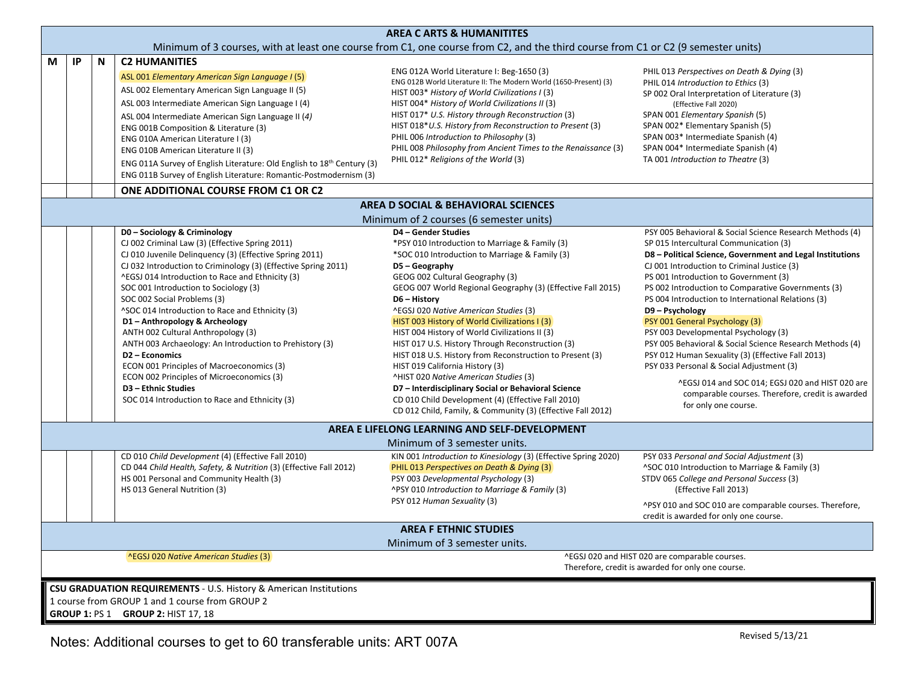|                                                                                                                                   | <b>AREA C ARTS &amp; HUMANITITES</b>                                                                                                                        |   |                                                                                                                                                                                                                                                                                                                                                                                                                                                                                                                                                                                                                                                                                                                     |                                                                                                                                                                                                                                                                                                                                                                                                                                                                                                                                                                                                                                                                                                                                                                                 |                                                                                                                                                                                                                                                                                                                                                                                                                                                                                                                                                                                                                                                                                                                                                               |  |  |  |  |  |  |  |
|-----------------------------------------------------------------------------------------------------------------------------------|-------------------------------------------------------------------------------------------------------------------------------------------------------------|---|---------------------------------------------------------------------------------------------------------------------------------------------------------------------------------------------------------------------------------------------------------------------------------------------------------------------------------------------------------------------------------------------------------------------------------------------------------------------------------------------------------------------------------------------------------------------------------------------------------------------------------------------------------------------------------------------------------------------|---------------------------------------------------------------------------------------------------------------------------------------------------------------------------------------------------------------------------------------------------------------------------------------------------------------------------------------------------------------------------------------------------------------------------------------------------------------------------------------------------------------------------------------------------------------------------------------------------------------------------------------------------------------------------------------------------------------------------------------------------------------------------------|---------------------------------------------------------------------------------------------------------------------------------------------------------------------------------------------------------------------------------------------------------------------------------------------------------------------------------------------------------------------------------------------------------------------------------------------------------------------------------------------------------------------------------------------------------------------------------------------------------------------------------------------------------------------------------------------------------------------------------------------------------------|--|--|--|--|--|--|--|
| Minimum of 3 courses, with at least one course from C1, one course from C2, and the third course from C1 or C2 (9 semester units) |                                                                                                                                                             |   |                                                                                                                                                                                                                                                                                                                                                                                                                                                                                                                                                                                                                                                                                                                     |                                                                                                                                                                                                                                                                                                                                                                                                                                                                                                                                                                                                                                                                                                                                                                                 |                                                                                                                                                                                                                                                                                                                                                                                                                                                                                                                                                                                                                                                                                                                                                               |  |  |  |  |  |  |  |
| M                                                                                                                                 | IP                                                                                                                                                          | N | <b>C2 HUMANITIES</b><br>ASL 001 Elementary American Sign Language I (5)<br>ASL 002 Elementary American Sign Language II (5)<br>ASL 003 Intermediate American Sign Language I (4)<br>ASL 004 Intermediate American Sign Language II (4)<br>ENG 001B Composition & Literature (3)<br>ENG 010A American Literature I (3)<br>ENG 010B American Literature II (3)<br>ENG 011A Survey of English Literature: Old English to 18 <sup>th</sup> Century (3)<br>ENG 011B Survey of English Literature: Romantic-Postmodernism (3)                                                                                                                                                                                             | ENG 012A World Literature I: Beg-1650 (3)<br>ENG 012B World Literature II: The Modern World (1650-Present) (3)<br>HIST 003* History of World Civilizations I (3)<br>HIST 004* History of World Civilizations II (3)<br>HIST 017* U.S. History through Reconstruction (3)<br>HIST 018*U.S. History from Reconstruction to Present (3)<br>PHIL 006 Introduction to Philosophy (3)<br>PHIL 008 Philosophy from Ancient Times to the Renaissance (3)<br>PHIL 012* Religions of the World (3)                                                                                                                                                                                                                                                                                        | PHIL 013 Perspectives on Death & Dying (3)<br>PHIL 014 Introduction to Ethics (3)<br>SP 002 Oral Interpretation of Literature (3)<br>(Effective Fall 2020)<br>SPAN 001 Elementary Spanish (5)<br>SPAN 002* Elementary Spanish (5)<br>SPAN 003* Intermediate Spanish (4)<br>SPAN 004* Intermediate Spanish (4)<br>TA 001 Introduction to Theatre (3)                                                                                                                                                                                                                                                                                                                                                                                                           |  |  |  |  |  |  |  |
|                                                                                                                                   | ONE ADDITIONAL COURSE FROM C1 OR C2                                                                                                                         |   |                                                                                                                                                                                                                                                                                                                                                                                                                                                                                                                                                                                                                                                                                                                     |                                                                                                                                                                                                                                                                                                                                                                                                                                                                                                                                                                                                                                                                                                                                                                                 |                                                                                                                                                                                                                                                                                                                                                                                                                                                                                                                                                                                                                                                                                                                                                               |  |  |  |  |  |  |  |
|                                                                                                                                   |                                                                                                                                                             |   |                                                                                                                                                                                                                                                                                                                                                                                                                                                                                                                                                                                                                                                                                                                     | AREA D SOCIAL & BEHAVIORAL SCIENCES<br>Minimum of 2 courses (6 semester units)                                                                                                                                                                                                                                                                                                                                                                                                                                                                                                                                                                                                                                                                                                  |                                                                                                                                                                                                                                                                                                                                                                                                                                                                                                                                                                                                                                                                                                                                                               |  |  |  |  |  |  |  |
|                                                                                                                                   |                                                                                                                                                             |   | D0 - Sociology & Criminology<br>CJ 002 Criminal Law (3) (Effective Spring 2011)<br>CJ 010 Juvenile Delinquency (3) (Effective Spring 2011)<br>CJ 032 Introduction to Criminology (3) (Effective Spring 2011)<br>^EGSJ 014 Introduction to Race and Ethnicity (3)<br>SOC 001 Introduction to Sociology (3)<br>SOC 002 Social Problems (3)<br>^SOC 014 Introduction to Race and Ethnicity (3)<br>D1 - Anthropology & Archeology<br>ANTH 002 Cultural Anthropology (3)<br>ANTH 003 Archaeology: An Introduction to Prehistory (3)<br>D2 - Economics<br>ECON 001 Principles of Macroeconomics (3)<br>ECON 002 Principles of Microeconomics (3)<br>D3 - Ethnic Studies<br>SOC 014 Introduction to Race and Ethnicity (3) | D4 - Gender Studies<br>*PSY 010 Introduction to Marriage & Family (3)<br>*SOC 010 Introduction to Marriage & Family (3)<br>D5 - Geography<br>GEOG 002 Cultural Geography (3)<br>GEOG 007 World Regional Geography (3) (Effective Fall 2015)<br>D6 - History<br>^EGSJ 020 Native American Studies (3)<br>HIST 003 History of World Civilizations I (3)<br>HIST 004 History of World Civilizations II (3)<br>HIST 017 U.S. History Through Reconstruction (3)<br>HIST 018 U.S. History from Reconstruction to Present (3)<br>HIST 019 California History (3)<br>^HIST 020 Native American Studies (3)<br>D7 - Interdisciplinary Social or Behavioral Science<br>CD 010 Child Development (4) (Effective Fall 2010)<br>CD 012 Child, Family, & Community (3) (Effective Fall 2012) | PSY 005 Behavioral & Social Science Research Methods (4)<br>SP 015 Intercultural Communication (3)<br>D8 - Political Science, Government and Legal Institutions<br>CJ 001 Introduction to Criminal Justice (3)<br>PS 001 Introduction to Government (3)<br>PS 002 Introduction to Comparative Governments (3)<br>PS 004 Introduction to International Relations (3)<br>D9 - Psychology<br>PSY 001 General Psychology (3)<br>PSY 003 Developmental Psychology (3)<br>PSY 005 Behavioral & Social Science Research Methods (4)<br>PSY 012 Human Sexuality (3) (Effective Fall 2013)<br>PSY 033 Personal & Social Adjustment (3)<br>^EGSJ 014 and SOC 014; EGSJ 020 and HIST 020 are<br>comparable courses. Therefore, credit is awarded<br>for only one course. |  |  |  |  |  |  |  |
|                                                                                                                                   |                                                                                                                                                             |   |                                                                                                                                                                                                                                                                                                                                                                                                                                                                                                                                                                                                                                                                                                                     | AREA E LIFELONG LEARNING AND SELF-DEVELOPMENT                                                                                                                                                                                                                                                                                                                                                                                                                                                                                                                                                                                                                                                                                                                                   |                                                                                                                                                                                                                                                                                                                                                                                                                                                                                                                                                                                                                                                                                                                                                               |  |  |  |  |  |  |  |
|                                                                                                                                   |                                                                                                                                                             |   |                                                                                                                                                                                                                                                                                                                                                                                                                                                                                                                                                                                                                                                                                                                     | Minimum of 3 semester units.                                                                                                                                                                                                                                                                                                                                                                                                                                                                                                                                                                                                                                                                                                                                                    |                                                                                                                                                                                                                                                                                                                                                                                                                                                                                                                                                                                                                                                                                                                                                               |  |  |  |  |  |  |  |
|                                                                                                                                   |                                                                                                                                                             |   | CD 010 Child Development (4) (Effective Fall 2010)<br>CD 044 Child Health, Safety, & Nutrition (3) (Effective Fall 2012)<br>HS 001 Personal and Community Health (3)<br>HS 013 General Nutrition (3)                                                                                                                                                                                                                                                                                                                                                                                                                                                                                                                | KIN 001 Introduction to Kinesiology (3) (Effective Spring 2020)<br>PHIL 013 Perspectives on Death & Dying (3)<br>PSY 003 Developmental Psychology (3)<br>^PSY 010 Introduction to Marriage & Family (3)<br>PSY 012 Human Sexuality (3)                                                                                                                                                                                                                                                                                                                                                                                                                                                                                                                                          | PSY 033 Personal and Social Adjustment (3)<br>^SOC 010 Introduction to Marriage & Family (3)<br>STDV 065 College and Personal Success (3)<br>(Effective Fall 2013)<br>^PSY 010 and SOC 010 are comparable courses. Therefore,<br>credit is awarded for only one course.                                                                                                                                                                                                                                                                                                                                                                                                                                                                                       |  |  |  |  |  |  |  |
|                                                                                                                                   |                                                                                                                                                             |   |                                                                                                                                                                                                                                                                                                                                                                                                                                                                                                                                                                                                                                                                                                                     | <b>AREA F ETHNIC STUDIES</b>                                                                                                                                                                                                                                                                                                                                                                                                                                                                                                                                                                                                                                                                                                                                                    |                                                                                                                                                                                                                                                                                                                                                                                                                                                                                                                                                                                                                                                                                                                                                               |  |  |  |  |  |  |  |
|                                                                                                                                   |                                                                                                                                                             |   |                                                                                                                                                                                                                                                                                                                                                                                                                                                                                                                                                                                                                                                                                                                     | Minimum of 3 semester units.                                                                                                                                                                                                                                                                                                                                                                                                                                                                                                                                                                                                                                                                                                                                                    |                                                                                                                                                                                                                                                                                                                                                                                                                                                                                                                                                                                                                                                                                                                                                               |  |  |  |  |  |  |  |
|                                                                                                                                   | ^EGSJ 020 and HIST 020 are comparable courses.<br><b>AEGSJ 020 Native American Studies (3)</b><br>Therefore, credit is awarded for only one course.         |   |                                                                                                                                                                                                                                                                                                                                                                                                                                                                                                                                                                                                                                                                                                                     |                                                                                                                                                                                                                                                                                                                                                                                                                                                                                                                                                                                                                                                                                                                                                                                 |                                                                                                                                                                                                                                                                                                                                                                                                                                                                                                                                                                                                                                                                                                                                                               |  |  |  |  |  |  |  |
|                                                                                                                                   | CSU GRADUATION REQUIREMENTS - U.S. History & American Institutions<br>1 course from GROUP 1 and 1 course from GROUP 2<br>GROUP 1: PS 1 GROUP 2: HIST 17, 18 |   |                                                                                                                                                                                                                                                                                                                                                                                                                                                                                                                                                                                                                                                                                                                     |                                                                                                                                                                                                                                                                                                                                                                                                                                                                                                                                                                                                                                                                                                                                                                                 |                                                                                                                                                                                                                                                                                                                                                                                                                                                                                                                                                                                                                                                                                                                                                               |  |  |  |  |  |  |  |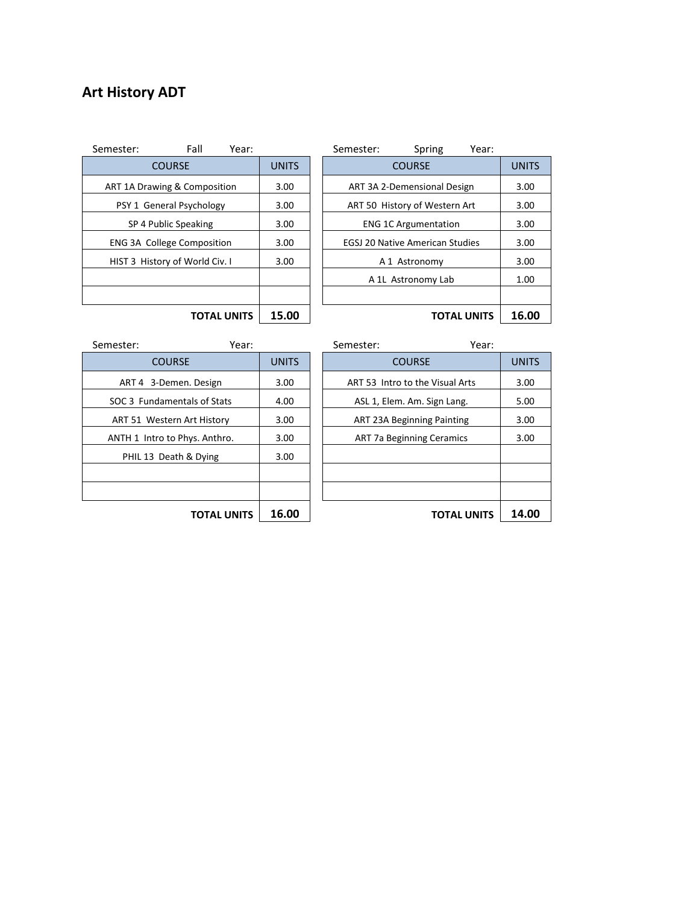## **Art History ADT**

| Fall<br>Year:<br>mester:                |              | Semester: |                                        | Spring             | Year:              |       |  |  |
|-----------------------------------------|--------------|-----------|----------------------------------------|--------------------|--------------------|-------|--|--|
| <b>COURSE</b>                           | <b>UNITS</b> |           | <b>COURSE</b>                          |                    |                    |       |  |  |
| <b>ART 1A Drawing &amp; Composition</b> | 3.00         |           | ART 3A 2-Demensional Design            |                    |                    | 3.00  |  |  |
| PSY 1 General Psychology                | 3.00         |           | ART 50 History of Western Art          |                    |                    | 3.00  |  |  |
| SP 4 Public Speaking                    | 3.00         |           | <b>ENG 1C Argumentation</b>            |                    |                    | 3.00  |  |  |
| <b>ENG 3A College Composition</b>       | 3.00         |           | <b>EGSJ 20 Native American Studies</b> |                    |                    | 3.00  |  |  |
| HIST 3 History of World Civ. I          | 3.00         |           |                                        | A 1 Astronomy      |                    | 3.00  |  |  |
|                                         |              |           |                                        | A 1L Astronomy Lab |                    | 1.00  |  |  |
|                                         |              |           |                                        |                    |                    |       |  |  |
| <b>TOTAL UNITS</b>                      | 15.00        |           |                                        |                    | <b>TOTAL UNITS</b> | 16.00 |  |  |

| Fall<br>Year:<br>Semester:        |              | Semester:                              | Spring                        | Year:              |
|-----------------------------------|--------------|----------------------------------------|-------------------------------|--------------------|
| <b>COURSE</b>                     | <b>UNITS</b> |                                        | <b>COURSE</b>                 |                    |
| ART 1A Drawing & Composition      | 3.00         | ART 3A 2-Demensional Design            |                               |                    |
| PSY 1 General Psychology          | 3.00         |                                        | ART 50 History of Western Art |                    |
| SP 4 Public Speaking              | 3.00         | <b>ENG 1C Argumentation</b>            |                               |                    |
| <b>ENG 3A College Composition</b> | 3.00         | <b>EGSJ 20 Native American Studies</b> |                               |                    |
| HIST 3 History of World Civ. I    | 3.00         |                                        | A 1 Astronomy                 |                    |
|                                   |              |                                        | A 1L Astronomy Lab            |                    |
|                                   |              |                                        |                               |                    |
| <b>TOTAL UNITS</b>                | 15.00        |                                        |                               | <b>TOTAL UNITS</b> |

| nester:                       | Year:              |              | Semester:                         | Year:              |              |
|-------------------------------|--------------------|--------------|-----------------------------------|--------------------|--------------|
| <b>COURSE</b>                 |                    | <b>UNITS</b> | <b>COURSE</b>                     |                    | <b>UNITS</b> |
| ART 4 3-Demen. Design         |                    | 3.00         | ART 53 Intro to the Visual Arts   |                    | 3.00         |
| SOC 3 Fundamentals of Stats   |                    | 4.00         | ASL 1, Elem. Am. Sign Lang.       |                    | 5.00         |
| ART 51 Western Art History    |                    | 3.00         | <b>ART 23A Beginning Painting</b> |                    | 3.00         |
| ANTH 1 Intro to Phys. Anthro. |                    | 3.00         | <b>ART 7a Beginning Ceramics</b>  |                    | 3.00         |
| PHIL 13 Death & Dying         |                    | 3.00         |                                   |                    |              |
|                               |                    |              |                                   |                    |              |
|                               |                    |              |                                   |                    |              |
|                               | <b>TOTAL UNITS</b> | 16.00        |                                   | <b>TOTAL UNITS</b> | 14.00        |

| Semester:                     | Year:                 |                                           |               | Semester:                        | Year:              |
|-------------------------------|-----------------------|-------------------------------------------|---------------|----------------------------------|--------------------|
| <b>COURSE</b>                 |                       | <b>UNITS</b>                              | <b>COURSE</b> |                                  |                    |
|                               | ART 4 3-Demen. Design |                                           |               | ART 53 Intro to the Visual Arts  |                    |
| SOC 3 Fundamentals of Stats   |                       | 4.00                                      |               | ASL 1, Elem. Am. Sign Lang.      |                    |
| ART 51 Western Art History    |                       | 3.00<br><b>ART 23A Beginning Painting</b> |               |                                  |                    |
| ANTH 1 Intro to Phys. Anthro. |                       | 3.00                                      |               | <b>ART 7a Beginning Ceramics</b> |                    |
| PHIL 13 Death & Dying         |                       | 3.00                                      |               |                                  |                    |
|                               |                       |                                           |               |                                  |                    |
|                               |                       |                                           |               |                                  |                    |
|                               | <b>TOTAL UNITS</b>    | 16.00                                     |               |                                  | <b>TOTAL UNITS</b> |